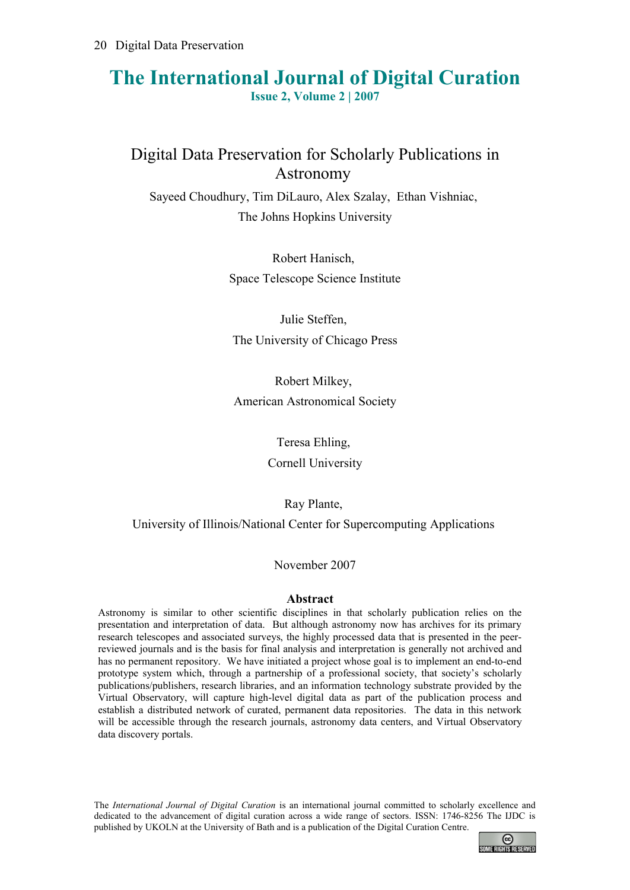## **The International Journal of Digital Curation Issue 2, Volume 2 | 2007**

# Digital Data Preservation for Scholarly Publications in Astronomy

Sayeed Choudhury, Tim DiLauro, Alex Szalay, Ethan Vishniac, The Johns Hopkins University

> Robert Hanisch, Space Telescope Science Institute

Julie Steffen, The University of Chicago Press

Robert Milkey, American Astronomical Society

Teresa Ehling,

Cornell University

Ray Plante,

University of Illinois/National Center for Supercomputing Applications

November 2007

#### **Abstract**

Astronomy is similar to other scientific disciplines in that scholarly publication relies on the presentation and interpretation of data. But although astronomy now has archives for its primary research telescopes and associated surveys, the highly processed data that is presented in the peerreviewed journals and is the basis for final analysis and interpretation is generally not archived and has no permanent repository. We have initiated a project whose goal is to implement an end-to-end prototype system which, through a partnership of a professional society, that society's scholarly publications/publishers, research libraries, and an information technology substrate provided by the Virtual Observatory, will capture high-level digital data as part of the publication process and establish a distributed network of curated, permanent data repositories. The data in this network will be accessible through the research journals, astronomy data centers, and Virtual Observatory data discovery portals.

The *International Journal of Digital Curation* is an international journal committed to scholarly excellence and dedicated to the advancement of digital curation across a wide range of sectors. ISSN: 1746-8256 The IJDC is published by UKOLN at the University of Bath and is a publication of the Digital Curation Centre.

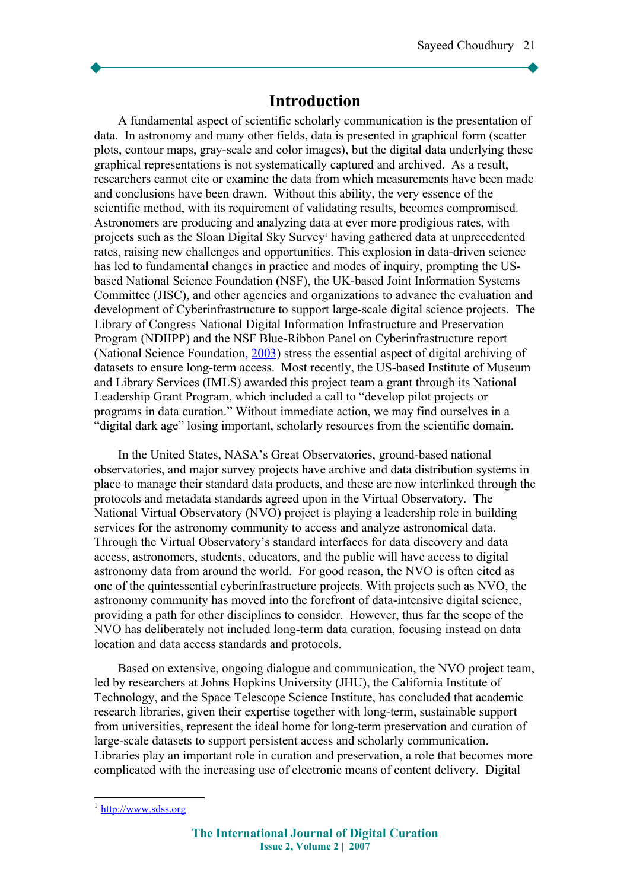### **Introduction**

A fundamental aspect of scientific scholarly communication is the presentation of data. In astronomy and many other fields, data is presented in graphical form (scatter plots, contour maps, gray-scale and color images), but the digital data underlying these graphical representations is not systematically captured and archived. As a result, researchers cannot cite or examine the data from which measurements have been made and conclusions have been drawn. Without this ability, the very essence of the scientific method, with its requirement of validating results, becomes compromised. Astronomers are producing and analyzing data at ever more prodigious rates, with projects such as the Sloan Digital Sky Survey<sup>[1](#page-1-0)</sup> having gathered data at unprecedented rates, raising new challenges and opportunities. This explosion in data-driven science has led to fundamental changes in practice and modes of inquiry, prompting the USbased National Science Foundation (NSF), the UK-based Joint Information Systems Committee (JISC), and other agencies and organizations to advance the evaluation and development of Cyberinfrastructure to support large-scale digital science projects. The Library of Congress National Digital Information Infrastructure and Preservation Program (NDIIPP) and the NSF Blue-Ribbon Panel on Cyberinfrastructure report (National Science Foundation, [2003\)](#page-10-0) stress the essential aspect of digital archiving of datasets to ensure long-term access. Most recently, the US-based Institute of Museum and Library Services (IMLS) awarded this project team a grant through its National Leadership Grant Program, which included a call to "develop pilot projects or programs in data curation." Without immediate action, we may find ourselves in a "digital dark age" losing important, scholarly resources from the scientific domain.

In the United States, NASA's Great Observatories, ground-based national observatories, and major survey projects have archive and data distribution systems in place to manage their standard data products, and these are now interlinked through the protocols and metadata standards agreed upon in the Virtual Observatory. The National Virtual Observatory (NVO) project is playing a leadership role in building services for the astronomy community to access and analyze astronomical data. Through the Virtual Observatory's standard interfaces for data discovery and data access, astronomers, students, educators, and the public will have access to digital astronomy data from around the world. For good reason, the NVO is often cited as one of the quintessential cyberinfrastructure projects. With projects such as NVO, the astronomy community has moved into the forefront of data-intensive digital science, providing a path for other disciplines to consider. However, thus far the scope of the NVO has deliberately not included long-term data curation, focusing instead on data location and data access standards and protocols.

Based on extensive, ongoing dialogue and communication, the NVO project team, led by researchers at Johns Hopkins University (JHU), the California Institute of Technology, and the Space Telescope Science Institute, has concluded that academic research libraries, given their expertise together with long-term, sustainable support from universities, represent the ideal home for long-term preservation and curation of large-scale datasets to support persistent access and scholarly communication. Libraries play an important role in curation and preservation, a role that becomes more complicated with the increasing use of electronic means of content delivery. Digital

<span id="page-1-0"></span><sup>&</sup>lt;sup>1</sup> [http://www.sdss.org](http://www.sdss.org/)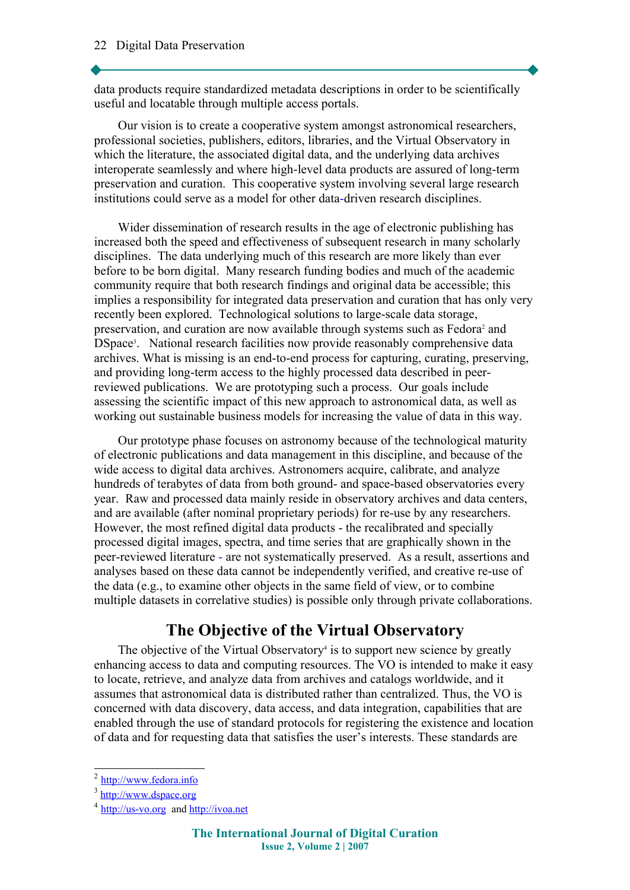data products require standardized metadata descriptions in order to be scientifically useful and locatable through multiple access portals.

Our vision is to create a cooperative system amongst astronomical researchers, professional societies, publishers, editors, libraries, and the Virtual Observatory in which the literature, the associated digital data, and the underlying data archives interoperate seamlessly and where high-level data products are assured of long-term preservation and curation. This cooperative system involving several large research institutions could serve as a model for other data-driven research disciplines.

Wider dissemination of research results in the age of electronic publishing has increased both the speed and effectiveness of subsequent research in many scholarly disciplines. The data underlying much of this research are more likely than ever before to be born digital. Many research funding bodies and much of the academic community require that both research findings and original data be accessible; this implies a responsibility for integrated data preservation and curation that has only very recently been explored. Technological solutions to large-scale data storage, preservation, and curation are now available through systems such as Fedora<sup>[2](#page-2-0)</sup> and DSpace<sup>[3](#page-2-1)</sup>. National research facilities now provide reasonably comprehensive data archives. What is missing is an end-to-end process for capturing, curating, preserving, and providing long-term access to the highly processed data described in peerreviewed publications. We are prototyping such a process. Our goals include assessing the scientific impact of this new approach to astronomical data, as well as working out sustainable business models for increasing the value of data in this way.

Our prototype phase focuses on astronomy because of the technological maturity of electronic publications and data management in this discipline, and because of the wide access to digital data archives. Astronomers acquire, calibrate, and analyze hundreds of terabytes of data from both ground- and space-based observatories every year. Raw and processed data mainly reside in observatory archives and data centers, and are available (after nominal proprietary periods) for re-use by any researchers. However, the most refined digital data products - the recalibrated and specially processed digital images, spectra, and time series that are graphically shown in the peer-reviewed literature - are not systematically preserved. As a result, assertions and analyses based on these data cannot be independently verified, and creative re-use of the data (e.g., to examine other objects in the same field of view, or to combine multiple datasets in correlative studies) is possible only through private collaborations.

## **The Objective of the Virtual Observatory**

The objective of the Virtual Observatory<sup>[4](#page-2-2)</sup> is to support new science by greatly enhancing access to data and computing resources. The VO is intended to make it easy to locate, retrieve, and analyze data from archives and catalogs worldwide, and it assumes that astronomical data is distributed rather than centralized. Thus, the VO is concerned with data discovery, data access, and data integration, capabilities that are enabled through the use of standard protocols for registering the existence and location of data and for requesting data that satisfies the user's interests. These standards are

<span id="page-2-0"></span><sup>&</sup>lt;sup>2</sup> [http://www.fedora.info](http://www.fedora.info/)

<span id="page-2-1"></span><sup>&</sup>lt;sup>3</sup> [http://www.dspace.org](http://www.dspace.org/)

<span id="page-2-2"></span><sup>&</sup>lt;sup>4</sup> [http://us-vo.org](http://us-vo.org/) and [http://ivoa.net](http://ivoa.net/)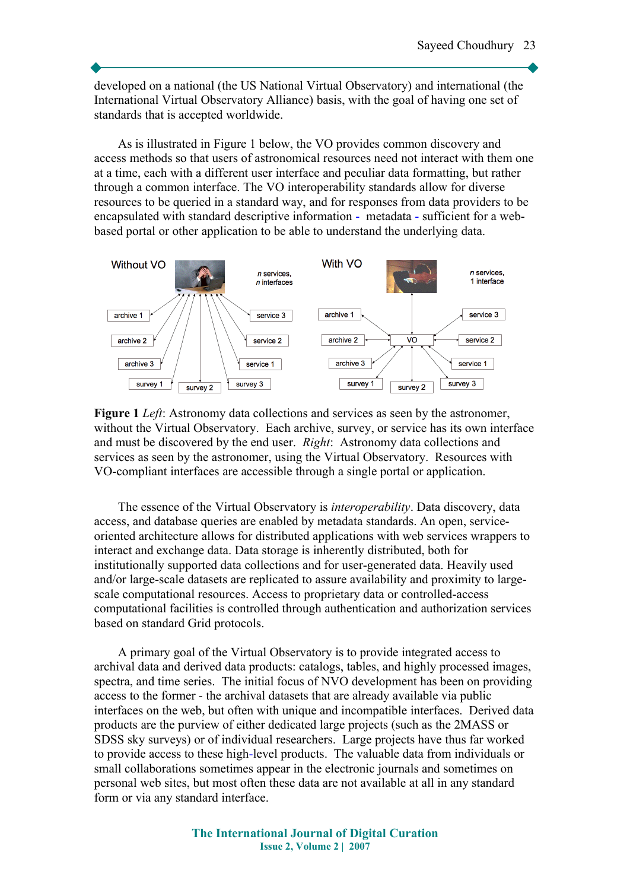developed on a national (the US National Virtual Observatory) and international (the International Virtual Observatory Alliance) basis, with the goal of having one set of standards that is accepted worldwide.

As is illustrated in Figure 1 below, the VO provides common discovery and access methods so that users of astronomical resources need not interact with them one at a time, each with a different user interface and peculiar data formatting, but rather through a common interface. The VO interoperability standards allow for diverse resources to be queried in a standard way, and for responses from data providers to be encapsulated with standard descriptive information - metadata - sufficient for a webbased portal or other application to be able to understand the underlying data.



**Figure 1** *Left*: Astronomy data collections and services as seen by the astronomer, without the Virtual Observatory. Each archive, survey, or service has its own interface and must be discovered by the end user. *Right*: Astronomy data collections and services as seen by the astronomer, using the Virtual Observatory. Resources with VO-compliant interfaces are accessible through a single portal or application.

The essence of the Virtual Observatory is *interoperability*. Data discovery, data access, and database queries are enabled by metadata standards. An open, serviceoriented architecture allows for distributed applications with web services wrappers to interact and exchange data. Data storage is inherently distributed, both for institutionally supported data collections and for user-generated data. Heavily used and/or large-scale datasets are replicated to assure availability and proximity to largescale computational resources. Access to proprietary data or controlled-access computational facilities is controlled through authentication and authorization services based on standard Grid protocols.

A primary goal of the Virtual Observatory is to provide integrated access to archival data and derived data products: catalogs, tables, and highly processed images, spectra, and time series. The initial focus of NVO development has been on providing access to the former - the archival datasets that are already available via public interfaces on the web, but often with unique and incompatible interfaces. Derived data products are the purview of either dedicated large projects (such as the 2MASS or SDSS sky surveys) or of individual researchers. Large projects have thus far worked to provide access to these high-level products. The valuable data from individuals or small collaborations sometimes appear in the electronic journals and sometimes on personal web sites, but most often these data are not available at all in any standard form or via any standard interface.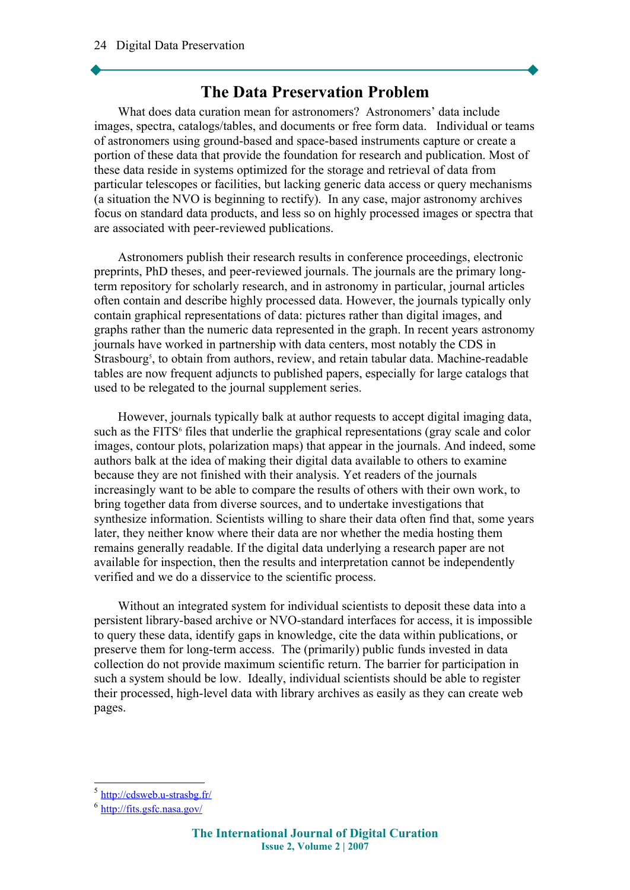### **The Data Preservation Problem**

What does data curation mean for astronomers? Astronomers' data include images, spectra, catalogs/tables, and documents or free form data. Individual or teams of astronomers using ground-based and space-based instruments capture or create a portion of these data that provide the foundation for research and publication. Most of these data reside in systems optimized for the storage and retrieval of data from particular telescopes or facilities, but lacking generic data access or query mechanisms (a situation the NVO is beginning to rectify). In any case, major astronomy archives focus on standard data products, and less so on highly processed images or spectra that are associated with peer-reviewed publications.

Astronomers publish their research results in conference proceedings, electronic preprints, PhD theses, and peer-reviewed journals. The journals are the primary longterm repository for scholarly research, and in astronomy in particular, journal articles often contain and describe highly processed data. However, the journals typically only contain graphical representations of data: pictures rather than digital images, and graphs rather than the numeric data represented in the graph. In recent years astronomy journals have worked in partnership with data centers, most notably the CDS in Strasbourg<sup>[5](#page-4-0)</sup>, to obtain from authors, review, and retain tabular data. Machine-readable tables are now frequent adjuncts to published papers, especially for large catalogs that used to be relegated to the journal supplement series.

However, journals typically balk at author requests to accept digital imaging data, such as the FITS<sup>[6](#page-4-1)</sup> files that underlie the graphical representations (gray scale and color images, contour plots, polarization maps) that appear in the journals. And indeed, some authors balk at the idea of making their digital data available to others to examine because they are not finished with their analysis. Yet readers of the journals increasingly want to be able to compare the results of others with their own work, to bring together data from diverse sources, and to undertake investigations that synthesize information. Scientists willing to share their data often find that, some years later, they neither know where their data are nor whether the media hosting them remains generally readable. If the digital data underlying a research paper are not available for inspection, then the results and interpretation cannot be independently verified and we do a disservice to the scientific process.

Without an integrated system for individual scientists to deposit these data into a persistent library-based archive or NVO-standard interfaces for access, it is impossible to query these data, identify gaps in knowledge, cite the data within publications, or preserve them for long-term access. The (primarily) public funds invested in data collection do not provide maximum scientific return. The barrier for participation in such a system should be low. Ideally, individual scientists should be able to register their processed, high-level data with library archives as easily as they can create web pages.

<span id="page-4-0"></span><sup>&</sup>lt;sup>5</sup> <http://cdsweb.u-strasbg.fr/>

<span id="page-4-1"></span><sup>&</sup>lt;sup>6</sup> <http://fits.gsfc.nasa.gov/>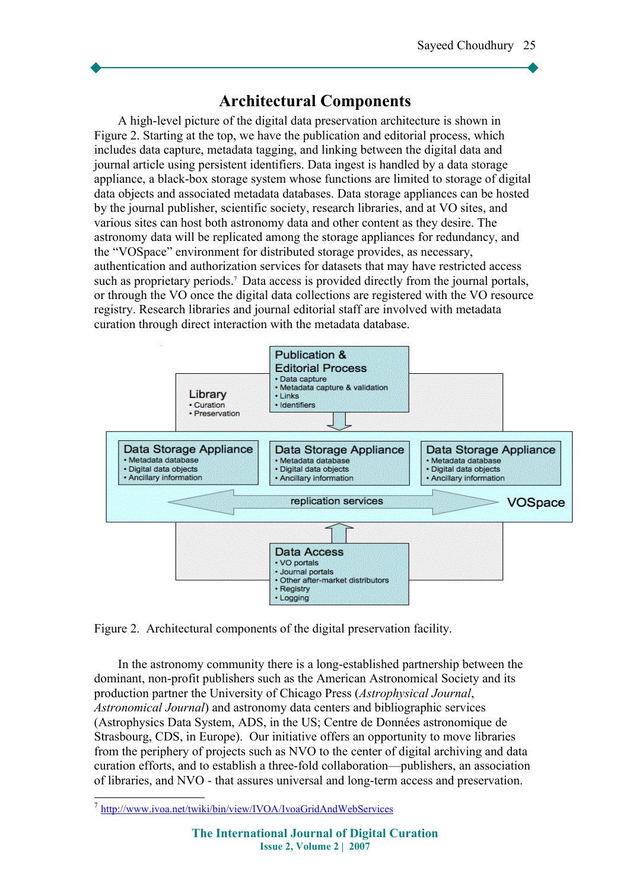## **Architectural Components**

A high-level picture of the digital data preservation architecture is shown in Figure 2. Starting at the top, we have the publication and editorial process, which includes data capture, metadata tagging, and linking between the digital data and journal article using persistent identifiers. Data ingest is handled by a data storage appliance, a black-box storage system whose functions are limited to storage of digital data objects and associated metadata databases. Data storage appliances can be hosted by the journal publisher, scientific society, research libraries, and at VO sites, and various sites can host both astronomy data and other content as they desire. The astronomy data will be replicated among the storage appliances for redundancy, and the "VOSpace" environment for distributed storage provides, as necessary, authentication and authorization services for datasets that may have restricted access such as proprietary periods.<sup>[7](#page-5-0)</sup> Data access is provided directly from the journal portals, or through the VO once the digital data collections are registered with the VO resource registry. Research libraries and journal editorial staff are involved with metadata curation through direct interaction with the metadata database.



Figure 2. Architectural components of the digital preservation facility.

In the astronomy community there is a long-established partnership between the dominant, non-profit publishers such as the American Astronomical Society and its production partner the University of Chicago Press (*Astrophysical Journal*, *Astronomical Journal*) and astronomy data centers and bibliographic services (Astrophysics Data System, ADS, in the US; Centre de Données astronomique de Strasbourg, CDS, in Europe). Our initiative offers an opportunity to move libraries from the periphery of projects such as NVO to the center of digital archiving and data curation efforts, and to establish a three-fold collaboration—publishers, an association of libraries, and NVO - that assures universal and long-term access and preservation.

<span id="page-5-0"></span><sup>&</sup>lt;sup>7</sup> http://www.ivoa.net/twiki/bin/view/IVOA/IvoaGridAndWebServices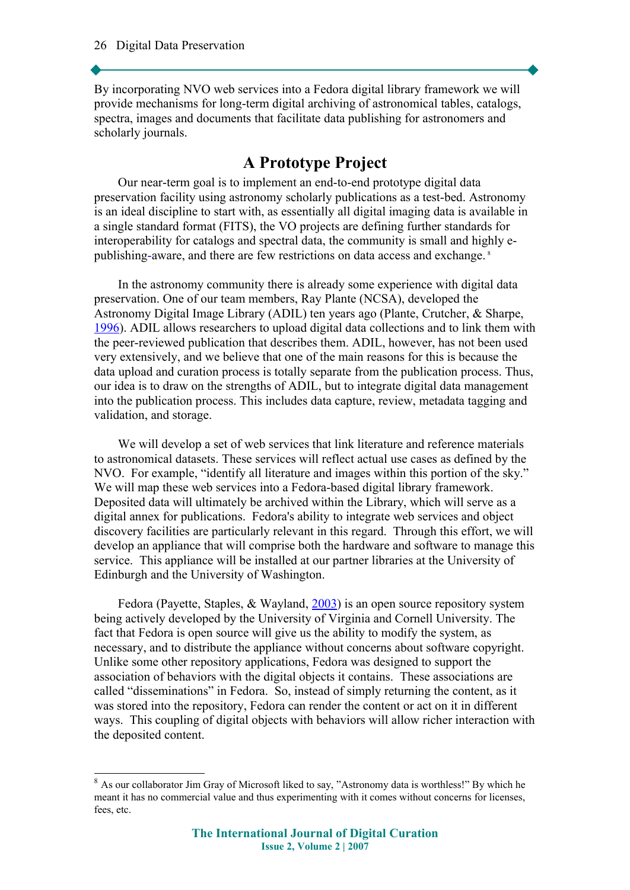By incorporating NVO web services into a Fedora digital library framework we will provide mechanisms for long-term digital archiving of astronomical tables, catalogs, spectra, images and documents that facilitate data publishing for astronomers and scholarly journals.

## **A Prototype Project**

Our near-term goal is to implement an end-to-end prototype digital data preservation facility using astronomy scholarly publications as a test-bed. Astronomy is an ideal discipline to start with, as essentially all digital imaging data is available in a single standard format (FITS), the VO projects are defining further standards for interoperability for catalogs and spectral data, the community is small and highly epublishing-aware, and there are few restrictions on data access and exchange. [8](#page-6-0)

In the astronomy community there is already some experience with digital data preservation. One of our team members, Ray Plante (NCSA), developed the Astronomy Digital Image Library (ADIL) ten years ago (Plante, Crutcher, & Sharpe, [1996\)](#page-10-2). ADIL allows researchers to upload digital data collections and to link them with the peer-reviewed publication that describes them. ADIL, however, has not been used very extensively, and we believe that one of the main reasons for this is because the data upload and curation process is totally separate from the publication process. Thus, our idea is to draw on the strengths of ADIL, but to integrate digital data management into the publication process. This includes data capture, review, metadata tagging and validation, and storage.

We will develop a set of web services that link literature and reference materials to astronomical datasets. These services will reflect actual use cases as defined by the NVO. For example, "identify all literature and images within this portion of the sky." We will map these web services into a Fedora-based digital library framework. Deposited data will ultimately be archived within the Library, which will serve as a digital annex for publications. Fedora's ability to integrate web services and object discovery facilities are particularly relevant in this regard. Through this effort, we will develop an appliance that will comprise both the hardware and software to manage this service. This appliance will be installed at our partner libraries at the University of Edinburgh and the University of Washington.

Fedora (Payette, Staples, & Wayland, [2003\)](#page-10-1) is an open source repository system being actively developed by the University of Virginia and Cornell University. The fact that Fedora is open source will give us the ability to modify the system, as necessary, and to distribute the appliance without concerns about software copyright. Unlike some other repository applications, Fedora was designed to support the association of behaviors with the digital objects it contains. These associations are called "disseminations" in Fedora. So, instead of simply returning the content, as it was stored into the repository, Fedora can render the content or act on it in different ways. This coupling of digital objects with behaviors will allow richer interaction with the deposited content.

<span id="page-6-0"></span><sup>&</sup>lt;sup>8</sup> As our collaborator Jim Gray of Microsoft liked to say, "Astronomy data is worthless!" By which he meant it has no commercial value and thus experimenting with it comes without concerns for licenses, fees, etc.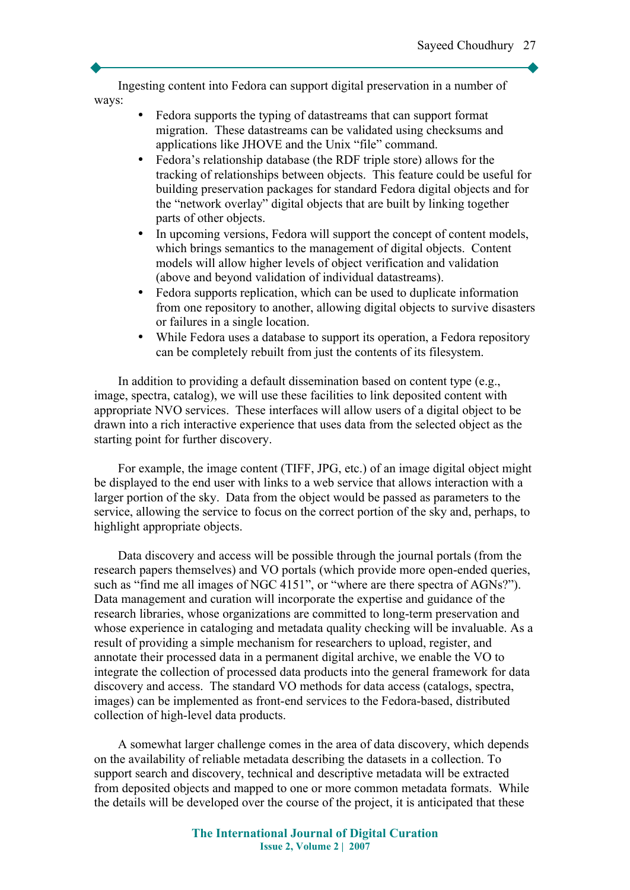Ingesting content into Fedora can support digital preservation in a number of ways:

- Fedora supports the typing of datastreams that can support format migration. These datastreams can be validated using checksums and applications like JHOVE and the Unix "file" command.
- Fedora's relationship database (the RDF triple store) allows for the tracking of relationships between objects. This feature could be useful for building preservation packages for standard Fedora digital objects and for the "network overlay" digital objects that are built by linking together parts of other objects.
- In upcoming versions, Fedora will support the concept of content models, which brings semantics to the management of digital objects. Content models will allow higher levels of object verification and validation (above and beyond validation of individual datastreams).
- Fedora supports replication, which can be used to duplicate information from one repository to another, allowing digital objects to survive disasters or failures in a single location.
- While Fedora uses a database to support its operation, a Fedora repository can be completely rebuilt from just the contents of its filesystem.

In addition to providing a default dissemination based on content type (e.g., image, spectra, catalog), we will use these facilities to link deposited content with appropriate NVO services. These interfaces will allow users of a digital object to be drawn into a rich interactive experience that uses data from the selected object as the starting point for further discovery.

For example, the image content (TIFF, JPG, etc.) of an image digital object might be displayed to the end user with links to a web service that allows interaction with a larger portion of the sky. Data from the object would be passed as parameters to the service, allowing the service to focus on the correct portion of the sky and, perhaps, to highlight appropriate objects.

Data discovery and access will be possible through the journal portals (from the research papers themselves) and VO portals (which provide more open-ended queries, such as "find me all images of NGC 4151", or "where are there spectra of AGNs?"). Data management and curation will incorporate the expertise and guidance of the research libraries, whose organizations are committed to long-term preservation and whose experience in cataloging and metadata quality checking will be invaluable. As a result of providing a simple mechanism for researchers to upload, register, and annotate their processed data in a permanent digital archive, we enable the VO to integrate the collection of processed data products into the general framework for data discovery and access. The standard VO methods for data access (catalogs, spectra, images) can be implemented as front-end services to the Fedora-based, distributed collection of high-level data products.

A somewhat larger challenge comes in the area of data discovery, which depends on the availability of reliable metadata describing the datasets in a collection. To support search and discovery, technical and descriptive metadata will be extracted from deposited objects and mapped to one or more common metadata formats. While the details will be developed over the course of the project, it is anticipated that these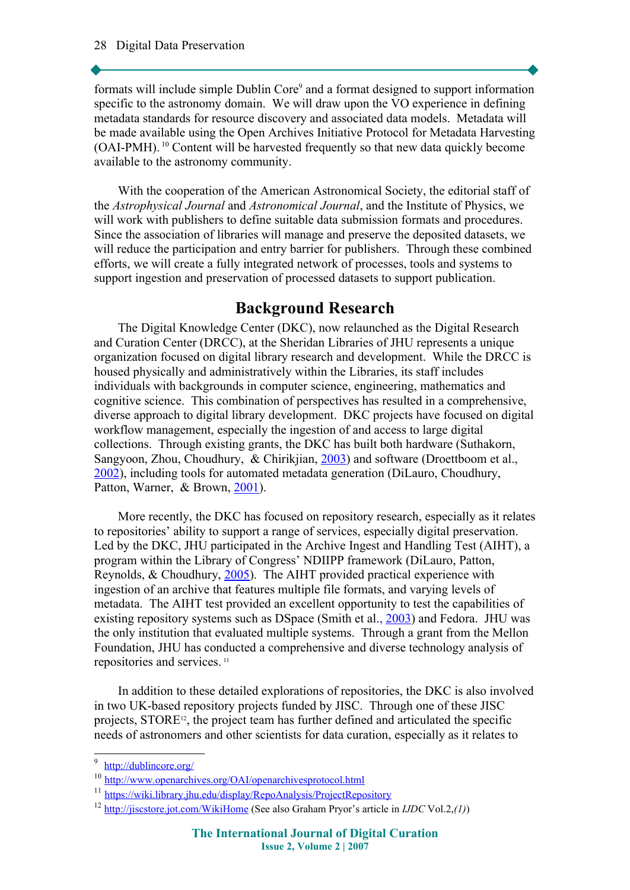formats will include simple Dublin Core<sup>[9](#page-8-0)</sup> and a format designed to support information specific to the astronomy domain. We will draw upon the VO experience in defining metadata standards for resource discovery and associated data models. Metadata will be made available using the Open Archives Initiative Protocol for Metadata Harvesting (OAI-PMH). [10](#page-8-1) Content will be harvested frequently so that new data quickly become available to the astronomy community.

With the cooperation of the American Astronomical Society, the editorial staff of the *Astrophysical Journal* and *Astronomical Journal*, and the Institute of Physics, we will work with publishers to define suitable data submission formats and procedures. Since the association of libraries will manage and preserve the deposited datasets, we will reduce the participation and entry barrier for publishers. Through these combined efforts, we will create a fully integrated network of processes, tools and systems to support ingestion and preservation of processed datasets to support publication.

## **Background Research**

The Digital Knowledge Center (DKC), now relaunched as the Digital Research and Curation Center (DRCC), at the Sheridan Libraries of JHU represents a unique organization focused on digital library research and development. While the DRCC is housed physically and administratively within the Libraries, its staff includes individuals with backgrounds in computer science, engineering, mathematics and cognitive science. This combination of perspectives has resulted in a comprehensive, diverse approach to digital library development. DKC projects have focused on digital workflow management, especially the ingestion of and access to large digital collections. Through existing grants, the DKC has built both hardware (Suthakorn, Sangyoon, Zhou, Choudhury, & Chirikjian, [2003\)](#page-10-4) and software (Droettboom et al., [2002\)](#page-9-2), including tools for automated metadata generation (DiLauro, Choudhury, Patton, Warner, & Brown, [2001\)](#page-9-1).

More recently, the DKC has focused on repository research, especially as it relates to repositories' ability to support a range of services, especially digital preservation. Led by the DKC, JHU participated in the Archive Ingest and Handling Test (AIHT), a program within the Library of Congress' NDIIPP framework (DiLauro, Patton, Reynolds, & Choudhury, [2005\)](#page-9-0). The AIHT provided practical experience with ingestion of an archive that features multiple file formats, and varying levels of metadata. The AIHT test provided an excellent opportunity to test the capabilities of existing repository systems such as DSpace (Smith et al., [2003\)](#page-10-3) and Fedora. JHU was the only institution that evaluated multiple systems. Through a grant from the Mellon Foundation, JHU has conducted a comprehensive and diverse technology analysis of repositories and services. [11](#page-8-2)

In addition to these detailed explorations of repositories, the DKC is also involved in two UK-based repository projects funded by JISC. Through one of these JISC projects, STORE<sup>[12](#page-8-3)</sup>, the project team has further defined and articulated the specific needs of astronomers and other scientists for data curation, especially as it relates to

<span id="page-8-0"></span><sup>&</sup>lt;sup>9</sup> <http://dublincore.org/>

<span id="page-8-1"></span><sup>10</sup> <http://www.openarchives.org/OAI/openarchivesprotocol.html>

<span id="page-8-2"></span><sup>&</sup>lt;sup>11</sup> <https://wiki.library.jhu.edu/display/RepoAnalysis/ProjectRepository>

<span id="page-8-3"></span><sup>12</sup> <http://jiscstore.jot.com/WikiHome>(See also Graham Pryor's article in *IJDC* Vol.2,*(1)*)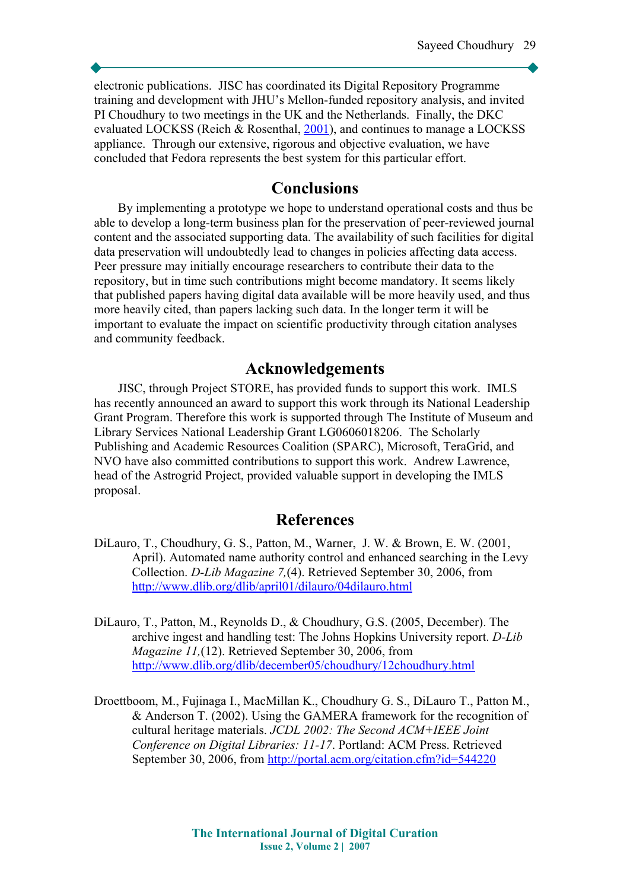electronic publications. JISC has coordinated its Digital Repository Programme training and development with JHU's Mellon-funded repository analysis, and invited PI Choudhury to two meetings in the UK and the Netherlands. Finally, the DKC evaluated LOCKSS (Reich & Rosenthal, [2001\)](#page-10-5), and continues to manage a LOCKSS appliance. Through our extensive, rigorous and objective evaluation, we have concluded that Fedora represents the best system for this particular effort.

### **Conclusions**

By implementing a prototype we hope to understand operational costs and thus be able to develop a long-term business plan for the preservation of peer-reviewed journal content and the associated supporting data. The availability of such facilities for digital data preservation will undoubtedly lead to changes in policies affecting data access. Peer pressure may initially encourage researchers to contribute their data to the repository, but in time such contributions might become mandatory. It seems likely that published papers having digital data available will be more heavily used, and thus more heavily cited, than papers lacking such data. In the longer term it will be important to evaluate the impact on scientific productivity through citation analyses and community feedback.

### **Acknowledgements**

JISC, through Project STORE, has provided funds to support this work. IMLS has recently announced an award to support this work through its National Leadership Grant Program. Therefore this work is supported through The Institute of Museum and Library Services National Leadership Grant LG0606018206. The Scholarly Publishing and Academic Resources Coalition (SPARC), Microsoft, TeraGrid, and NVO have also committed contributions to support this work. Andrew Lawrence, head of the Astrogrid Project, provided valuable support in developing the IMLS proposal.

### **References**

- <span id="page-9-1"></span>DiLauro, T., Choudhury, G. S., Patton, M., Warner, J. W. & Brown, E. W. (2001, April). Automated name authority control and enhanced searching in the Levy Collection. *D-Lib Magazine 7,*(4). Retrieved September 30, 2006, from <http://www.dlib.org/dlib/april01/dilauro/04dilauro.html>
- <span id="page-9-0"></span>DiLauro, T., Patton, M., Reynolds D., & Choudhury, G.S. (2005, December). The archive ingest and handling test: The Johns Hopkins University report. *D-Lib Magazine 11,*(12). Retrieved September 30, 2006, from <http://www.dlib.org/dlib/december05/choudhury/12choudhury.html>
- <span id="page-9-2"></span>Droettboom, M., Fujinaga I., MacMillan K., Choudhury G. S., DiLauro T., Patton M., & Anderson T. (2002). Using the GAMERA framework for the recognition of cultural heritage materials. *JCDL 2002: The Second ACM+IEEE Joint Conference on Digital Libraries: 11-17*. Portland: ACM Press. Retrieved September 30, 2006, from <http://portal.acm.org/citation.cfm?id=544220>